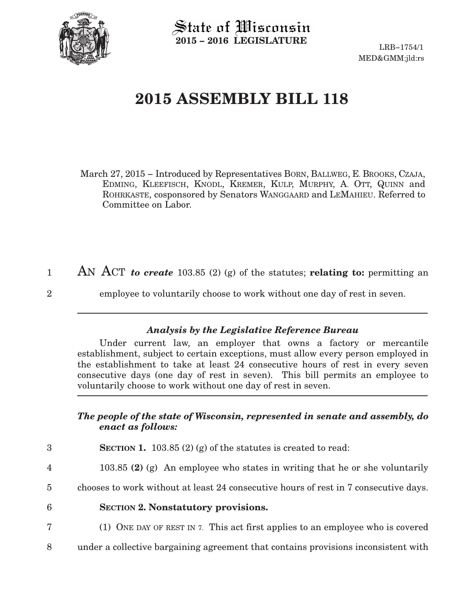

State of Wisconsin **2015 − 2016 LEGISLATURE**

LRB−1754/1 MED&GMM:jld:rs

## **2015 ASSEMBLY BILL 118**

March 27, 2015 – Introduced by Representatives BORN, BALLWEG, E. BROOKS, CZAJA, EDMING, KLEEFISCH, KNODL, KREMER, KULP, MURPHY, A. OTT, QUINN and ROHRKASTE, cosponsored by Senators WANGGAARD and LEMAHIEU. Referred to Committee on Labor.

- AN ACT *to create* 103.85 (2) (g) of the statutes; **relating to:** permitting an 1
- $\mathfrak{D}$

7

employee to voluntarily choose to work without one day of rest in seven.

## *Analysis by the Legislative Reference Bureau*

Under current law, an employer that owns a factory or mercantile establishment, subject to certain exceptions, must allow every person employed in the establishment to take at least 24 consecutive hours of rest in every seven consecutive days (one day of rest in seven). This bill permits an employee to voluntarily choose to work without one day of rest in seven.

## *The people of the state of Wisconsin, represented in senate and assembly, do enact as follows:*

- **SECTION 1.** 103.85 (2) (g) of the statutes is created to read: 3
- 103.85 **(2)** (g) An employee who states in writing that he or she voluntarily 4
- chooses to work without at least 24 consecutive hours of rest in 7 consecutive days. 5
- **SECTION 2. Nonstatutory provisions.** 6
	- (1) ONE DAY OF REST IN 7. This act first applies to an employee who is covered
- under a collective bargaining agreement that contains provisions inconsistent with 8